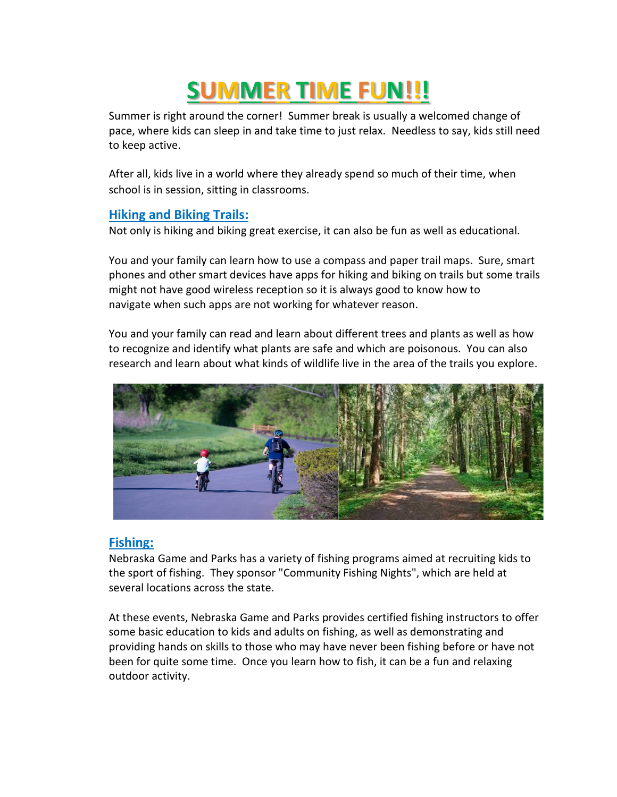# **SUMMER TIME FUN!!!**

Summer is right around the corner! Summer break is usually a welcomed change of pace, where kids can sleep in and take time to just relax. Needless to say, kids still need to keep active.

After all, kids live in a world where they already spend so much of their time, when school is in session, sitting in classrooms.

#### **Hiking and Biking Trails:**

Not only is hiking and biking great exercise, it can also be fun as well as educational.

You and your family can learn how to use a compass and paper trail maps. Sure, smart phones and other smart devices have apps for hiking and biking on trails but some trails might not have good wireless reception so it is always good to know how to navigate when such apps are not working for whatever reason.

You and your family can read and learn about different trees and plants as well as how to recognize and identify what plants are safe and which are poisonous. You can also research and learn about what kinds of wildlife live in the area of the trails you explore.



#### **Fishing:**

Nebraska Game and Parks has a variety of fishing programs aimed at recruiting kids to the sport of fishing. They sponsor "Community Fishing Nights", which are held at several locations across the state.

At these events, Nebraska Game and Parks provides certified fishing instructors to offer some basic education to kids and adults on fishing, as well as demonstrating and providing hands on skills to those who may have never been fishing before or have not been for quite some time. Once you learn how to fish, it can be a fun and relaxing outdoor activity.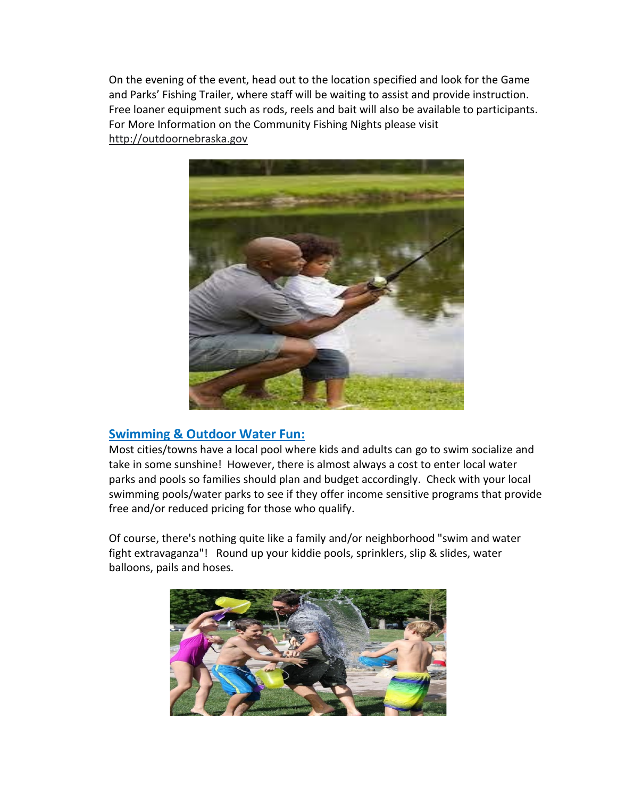On the evening of the event, head out to the location specified and look for the Game and Parks' Fishing Trailer, where staff will be waiting to assist and provide instruction. Free loaner equipment such as rods, reels and bait will also be available to participants. For More Information on the Community Fishing Nights please visit [http://outdoornebraska.gov](http://outdoornebraska.gov/)



### **Swimming & Outdoor Water Fun:**

Most cities/towns have a local pool where kids and adults can go to swim socialize and take in some sunshine! However, there is almost always a cost to enter local water parks and pools so families should plan and budget accordingly. Check with your local swimming pools/water parks to see if they offer income sensitive programs that provide free and/or reduced pricing for those who qualify.

Of course, there's nothing quite like a family and/or neighborhood "swim and water fight extravaganza"! Round up your kiddie pools, sprinklers, slip & slides, water balloons, pails and hoses.

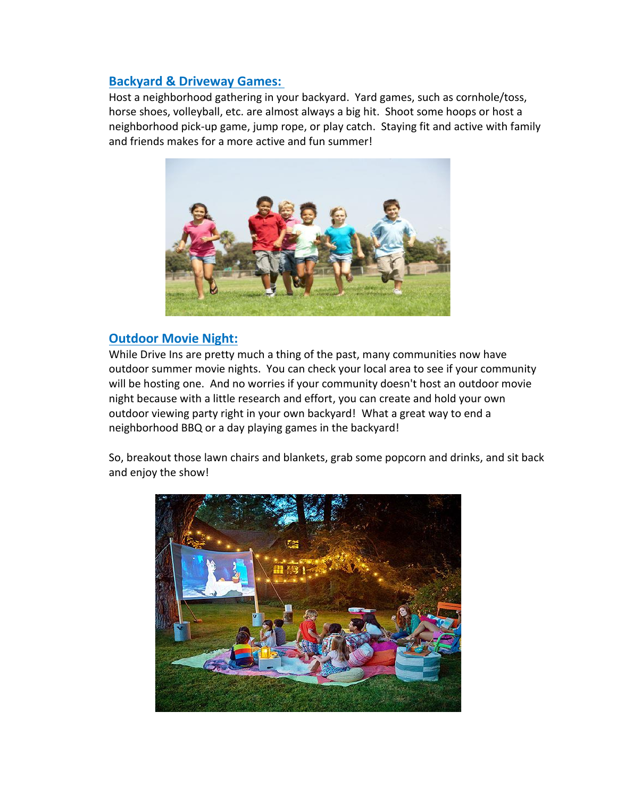### **Backyard & Driveway Games:**

Host a neighborhood gathering in your backyard. Yard games, such as cornhole/toss, horse shoes, volleyball, etc. are almost always a big hit. Shoot some hoops or host a neighborhood pick-up game, jump rope, or play catch. Staying fit and active with family and friends makes for a more active and fun summer!



## **Outdoor Movie Night:**

While Drive Ins are pretty much a thing of the past, many communities now have outdoor summer movie nights. You can check your local area to see if your community will be hosting one. And no worries if your community doesn't host an outdoor movie night because with a little research and effort, you can create and hold your own outdoor viewing party right in your own backyard! What a great way to end a neighborhood BBQ or a day playing games in the backyard!

So, breakout those lawn chairs and blankets, grab some popcorn and drinks, and sit back and enjoy the show!